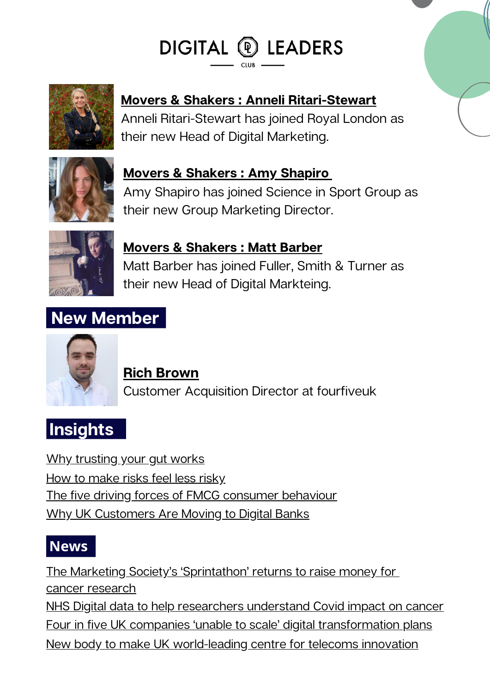# DIGITAL @ LEADERS



## **Movers & Shakers : Anneli [Ritari-Stewart](https://www.linkedin.com/in/anneliritari/)**

Anneli Ritari-Stewart has joined Royal London as their new Head of Digital Marketing.



### **Movers & [Shakers](https://www.linkedin.com/in/amyrshapiro/) : Amy Shapiro**

Amy Shapiro has joined Science in Sport Group as their new Group Marketing Director.



### **Movers & [Shakers](https://www.linkedin.com/in/matt-barber83/?originalSubdomain=uk) : Matt Barber** Matt Barber has joined Fuller, Smith & Turner as their new Head of Digital Markteing.

## **New Member**



#### **Rich Brown**

Customer Acquisition Director at fourfiveuk

# **Insights**

Why [trusting](https://www.linkedin.com/news/story/why-trusting-your-gut-works-4713137/) your gut works How to [make](https://www.linkedin.com/news/story/how-to-make-risks-feel-less-risky-5752810/) risks feel less risky The five driving forces of FMCG [consumer](https://www.marketingweek.com/five-driving-forces-fmcg-consumer-behaviour/) behaviour Why UK [Customers](https://www.pymnts.com/news/digital-banking/2022/why-united-kingdom-customers-are-moving-digital-banks/) Are Moving to Digital Banks

## **News**

The Marketing Society's ['Sprintathon'](https://www.marketingweek.com/marketing-society-sprintathon-returns/) returns to raise money for cancer [research](https://www.marketingweek.com/marketing-society-sprintathon-returns/) NHS Digital data to help [researchers](https://www.digitalhealth.net/2022/03/nhs-digital-data-covid-impact-on-cancer/) understand Covid impact on cancer Four in five UK companies 'unable to scale' digital [transformation](https://www.digitalleadersclub.co.uk/post/uk-companies-unable-to-scale-digital-transformation-plans) plans New body to make UK [world-leading](https://www.gov.uk/government/news/new-body-to-make-uk-world-leading-centre-for-telecoms-innovation) centre for telecoms innovation